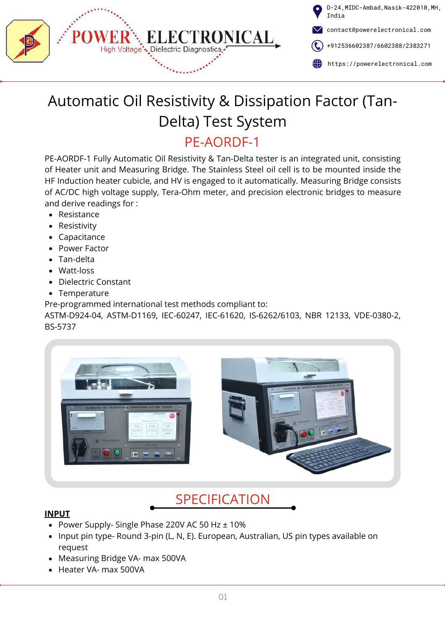

# Automatic Oil Resistivity & Dissipation Factor (Tan-Delta) Test System

### PE-AORDF-1

PE-AORDF-1 Fully Automatic Oil Resistivity & Tan-Delta tester is an integrated unit, consisting of Heater unit and Measuring Bridge. The Stainless Steel oil cell is to be mounted inside the HF Induction heater cubicle, and HV is engaged to it automatically. Measuring Bridge consists of AC/DC high voltage supply, Tera-Ohm meter, and precision electronic bridges to measure and derive readings for :

- Resistance
- Resistivity
- Capacitance
- Power Factor
- Tan-delta
- Watt-loss
- Dielectric Constant
- Temperature

Pre-programmed international test methods compliant to:

ASTM-D924-04, ASTM-D1169, IEC-60247, IEC-61620, IS-6262/6103, NBR 12133, VDE-0380-2, BS-5737



## SPECIFICATION

#### **INPUT**

- Power Supply- Single Phase 220V AC 50 Hz ± 10%
- Input pin type- Round 3-pin (L, N, E). European, Australian, US pin types available on request
- Measuring Bridge VA- max 500VA
- Heater VA- max 500VA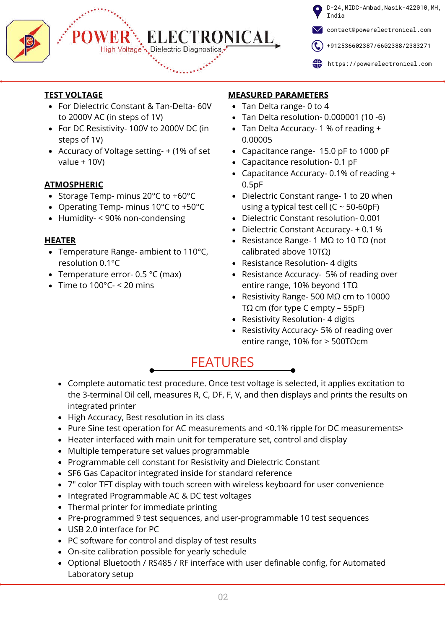

contact@powerelectronical.com

 $\left(\begin{array}{c} \bullet \end{array}\right)$  [+912536602387](tel:+912536602387)/[6602388](tel:+912536602388)[/2383271](tel:+912532383271)

**(1)** https://powerelectronical.com

#### **TEST VOLTAGE**

For Dielectric Constant & Tan-Delta- 60V to 2000V AC (in steps of 1V)

High Voltage \* Dielectric Diagnostics

- For DC Resistivity- 100V to 2000V DC (in steps of 1V)
- Accuracy of Voltage setting- + (1% of set value + 10V)

#### **ATMOSPHERIC**

- Storage Temp- minus 20°C to +60°C
- Operating Temp- minus 10°C to +50°C
- Humidity- < 90% non-condensing

#### **HEATER**

- Temperature Range- ambient to 110°C, resolution 0.1°C
- Temperature error- 0.5 °C (max)
- Time to  $100^{\circ}$ C- < 20 mins

#### **MEASURED PARAMETERS**

**DNICAL** 

- Tan Delta range- 0 to 4
- Tan Delta resolution- 0.000001 (10 -6)
- Tan Delta Accuracy- 1 % of reading + 0.00005
- Capacitance range- 15.0 pF to 1000 pF
- Capacitance resolution- 0.1 pF
- Capacitance Accuracy- 0.1% of reading + 0.5pF
- Dielectric Constant range- 1 to 20 when using a typical test cell (C  $\sim$  50-60pF)
- Dielectric Constant resolution- 0.001
- Dielectric Constant Accuracy- + 0.1 %
- Resistance Range- 1 MΩ to 10 TΩ (not calibrated above 10TΩ)
- Resistance Resolution- 4 digits
- Resistance Accuracy- 5% of reading over entire range, 10% beyond 1TΩ
- Resistivity Range- 500 MΩ cm to 10000 TΩ cm (for type C empty – 55pF)
- Resistivity Resolution- 4 digits
- Resistivity Accuracy- 5% of reading over entire range, 10% for > 500TΩcm

### FEATURES

- Complete automatic test procedure. Once test voltage is selected, it applies excitation to the 3-terminal Oil cell, measures R, C, DF, F, V, and then displays and prints the results on integrated printer
- High Accuracy, Best resolution in its class
- Pure Sine test operation for AC measurements and <0.1% ripple for DC measurements>
- Heater interfaced with main unit for temperature set, control and display
- Multiple temperature set values programmable
- Programmable cell constant for Resistivity and Dielectric Constant
- SF6 Gas Capacitor integrated inside for standard reference
- 7″ color TFT display with touch screen with wireless keyboard for user convenience
- Integrated Programmable AC & DC test voltages
- Thermal printer for immediate printing
- Pre-programmed 9 test sequences, and user-programmable 10 test sequences
- USB 2.0 interface for PC
- PC software for control and display of test results
- On-site calibration possible for yearly schedule
- Optional Bluetooth / RS485 / RF interface with user definable config, for Automated Laboratory setup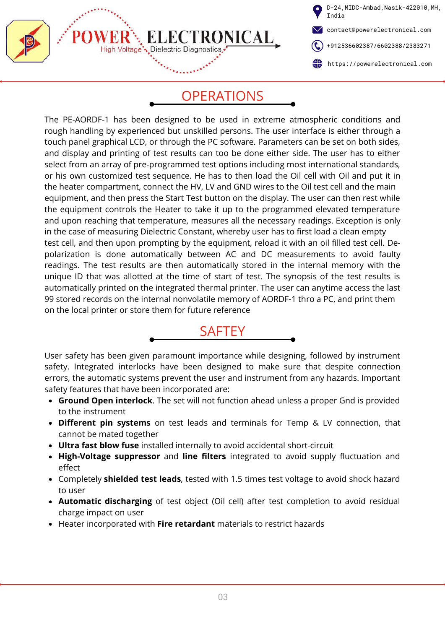

D-24,MIDC-Ambad,Nasik-422010,MH, India

contact@powerelectronical.com

[+912536602387](tel:+912536602387)/[6602388](tel:+912536602388)[/2383271](tel:+912532383271)

**(1)** https://powerelectronical.com

### **OPERATIONS**

The PE-AORDF-1 has been designed to be used in extreme atmospheric conditions and rough handling by experienced but unskilled persons. The user interface is either through a touch panel graphical LCD, or through the PC software. Parameters can be set on both sides, and display and printing of test results can too be done either side. The user has to either select from an array of pre-programmed test options including most international standards, or his own customized test sequence. He has to then load the Oil cell with Oil and put it in the heater compartment, connect the HV, LV and GND wires to the Oil test cell and the main equipment, and then press the Start Test button on the display. The user can then rest while the equipment controls the Heater to take it up to the programmed elevated temperature and upon reaching that temperature, measures all the necessary readings. Exception is only in the case of measuring Dielectric Constant, whereby user has to first load a clean empty test cell, and then upon prompting by the equipment, reload it with an oil filled test cell. Depolarization is done automatically between AC and DC measurements to avoid faulty readings. The test results are then automatically stored in the internal memory with the unique ID that was allotted at the time of start of test. The synopsis of the test results is automatically printed on the integrated thermal printer. The user can anytime access the last 99 stored records on the internal nonvolatile memory of AORDF-1 thro a PC, and print them on the local printer or store them for future reference

User safety has been given paramount importance while designing, followed by instrument safety. Integrated interlocks have been designed to make sure that despite connection errors, the automatic systems prevent the user and instrument from any hazards. Important safety features that have been incorporated are:

**SAFTEY** 

- **Ground Open interlock**. The set will not function ahead unless a proper Gnd is provided to the instrument
- **Different pin systems** on test leads and terminals for Temp & LV connection, that cannot be mated together
- **Ultra fast blow fuse** installed internally to avoid accidental short-circuit
- **High-Voltage suppressor** and **line filters** integrated to avoid supply fluctuation and effect
- Completely **shielded test leads**, tested with 1.5 times test voltage to avoid shock hazard to user
- **Automatic discharging** of test object (Oil cell) after test completion to avoid residual charge impact on user
- Heater incorporated with **Fire retardant** materials to restrict hazards